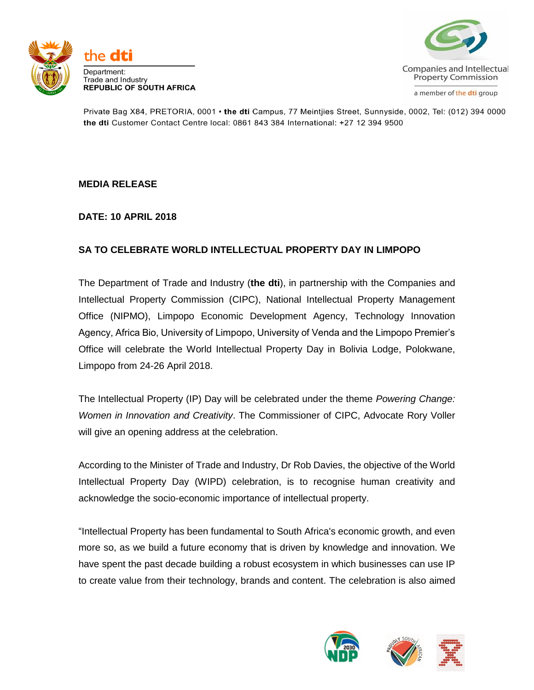



a member of the dti group

Private Bag X84, PRETORIA, 0001 • the dti Campus, 77 Meintjies Street, Sunnyside, 0002, Tel: (012) 394 0000 the dti Customer Contact Centre local: 0861 843 384 International: +27 12 394 9500

## **MEDIA RELEASE**

## **DATE: 10 APRIL 2018**

## **SA TO CELEBRATE WORLD INTELLECTUAL PROPERTY DAY IN LIMPOPO**

The Department of Trade and Industry (**the dti**), in partnership with the Companies and Intellectual Property Commission (CIPC), National Intellectual Property Management Office (NIPMO), Limpopo Economic Development Agency, Technology Innovation Agency, Africa Bio, University of Limpopo, University of Venda and the Limpopo Premier's Office will celebrate the World Intellectual Property Day in Bolivia Lodge, Polokwane, Limpopo from 24-26 April 2018.

The Intellectual Property (IP) Day will be celebrated under the theme *Powering Change: Women in Innovation and Creativity*. The Commissioner of CIPC, Advocate Rory Voller will give an opening address at the celebration.

According to the Minister of Trade and Industry, Dr Rob Davies, the objective of the World Intellectual Property Day (WIPD) celebration, is to recognise human creativity and acknowledge the socio-economic importance of intellectual property.

"Intellectual Property has been fundamental to South Africa's economic growth, and even more so, as we build a future economy that is driven by knowledge and innovation. We have spent the past decade building a robust ecosystem in which businesses can use IP to create value from their technology, brands and content. The celebration is also aimed